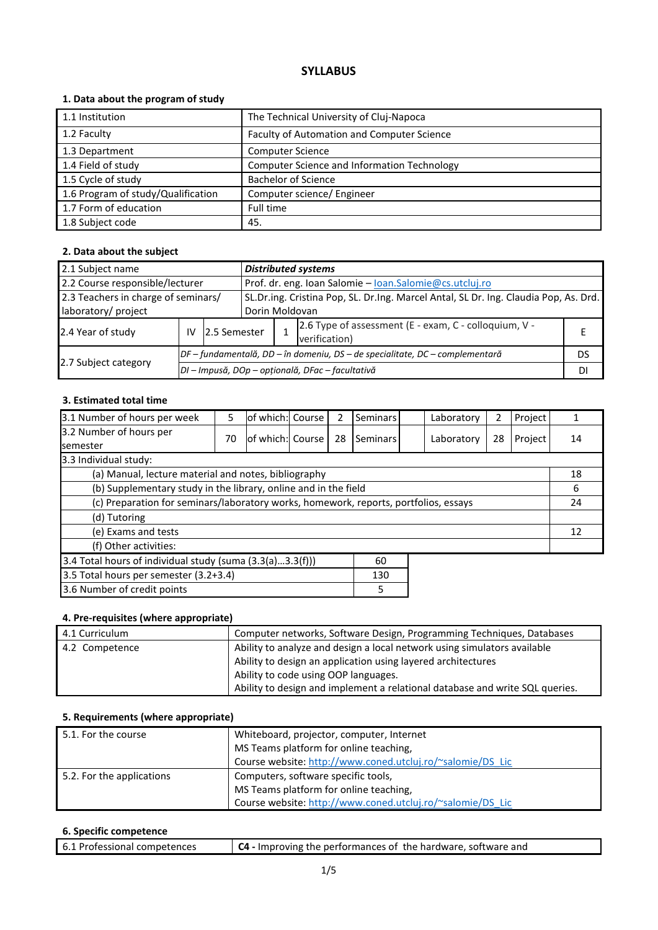## **SYLLABUS**

### **1. Data about the program of study**

| 1.1 Institution                    | The Technical University of Cluj-Napoca     |
|------------------------------------|---------------------------------------------|
| 1.2 Faculty                        | Faculty of Automation and Computer Science  |
| 1.3 Department                     | <b>Computer Science</b>                     |
| 1.4 Field of study                 | Computer Science and Information Technology |
| 1.5 Cycle of study                 | <b>Bachelor of Science</b>                  |
| 1.6 Program of study/Qualification | Computer science/ Engineer                  |
| 1.7 Form of education              | Full time                                   |
| 1.8 Subject code                   | 45.                                         |

### **2. Data about the subject**

| 2.1 Subject name                    |    |                                                  |                                                                              | <b>Distributed systems</b>                                                           |                                                                        |    |  |  |
|-------------------------------------|----|--------------------------------------------------|------------------------------------------------------------------------------|--------------------------------------------------------------------------------------|------------------------------------------------------------------------|----|--|--|
| 2.2 Course responsible/lecturer     |    |                                                  |                                                                              | Prof. dr. eng. Ioan Salomie - loan.Salomie@cs.utcluj.ro                              |                                                                        |    |  |  |
| 2.3 Teachers in charge of seminars/ |    |                                                  |                                                                              | SL.Dr.ing. Cristina Pop, SL. Dr.Ing. Marcel Antal, SL Dr. Ing. Claudia Pop, As. Drd. |                                                                        |    |  |  |
| laboratory/ project                 |    |                                                  |                                                                              | Dorin Moldovan                                                                       |                                                                        |    |  |  |
| 2.4 Year of study                   | IV | 2.5 Semester                                     |                                                                              |                                                                                      | 2.6 Type of assessment (E - exam, C - colloquium, V -<br>verification) |    |  |  |
|                                     |    |                                                  | DF – fundamentală, DD – în domeniu, DS – de specialitate, DC – complementară |                                                                                      |                                                                        | DS |  |  |
| 2.7 Subject category                |    | DI - Impusă, DOp - opțională, DFac - facultativă |                                                                              |                                                                                      |                                                                        |    |  |  |

#### **3. Estimated total time**

| 3.1 Number of hours per week                                                         | 5  | of which: Course |  | 2  | Seminars        |  | Laboratory | 2  | Project |    |
|--------------------------------------------------------------------------------------|----|------------------|--|----|-----------------|--|------------|----|---------|----|
| 3.2 Number of hours per<br>semester                                                  | 70 | of which: Course |  | 28 | <b>Seminars</b> |  | Laboratory | 28 | Project | 14 |
| 3.3 Individual study:                                                                |    |                  |  |    |                 |  |            |    |         |    |
| (a) Manual, lecture material and notes, bibliography                                 |    |                  |  |    |                 |  | 18         |    |         |    |
| (b) Supplementary study in the library, online and in the field                      |    |                  |  |    |                 |  | 6          |    |         |    |
| (c) Preparation for seminars/laboratory works, homework, reports, portfolios, essays |    |                  |  |    |                 |  | 24         |    |         |    |
| (d) Tutoring                                                                         |    |                  |  |    |                 |  |            |    |         |    |
| (e) Exams and tests                                                                  |    |                  |  |    |                 |  |            | 12 |         |    |
| (f) Other activities:                                                                |    |                  |  |    |                 |  |            |    |         |    |
| 3.4 Total hours of individual study (suma (3.3(a)3.3(f)))<br>60                      |    |                  |  |    |                 |  |            |    |         |    |
| 3.5 Total hours per semester (3.2+3.4)<br>130                                        |    |                  |  |    |                 |  |            |    |         |    |
| 3.6 Number of credit points<br>5                                                     |    |                  |  |    |                 |  |            |    |         |    |

### **4. Pre-requisites (where appropriate)**

| 4.1 Curriculum | Computer networks, Software Design, Programming Techniques, Databases        |
|----------------|------------------------------------------------------------------------------|
| 4.2 Competence | Ability to analyze and design a local network using simulators available     |
|                | Ability to design an application using layered architectures                 |
|                | Ability to code using OOP languages.                                         |
|                | Ability to design and implement a relational database and write SQL queries. |

### **5. Requirements (where appropriate)**

| 5.1. For the course       | Whiteboard, projector, computer, Internet<br>MS Teams platform for online teaching, |  |  |  |  |
|---------------------------|-------------------------------------------------------------------------------------|--|--|--|--|
|                           |                                                                                     |  |  |  |  |
|                           | Course website: http://www.coned.utcluj.ro/~salomie/DS_Lic                          |  |  |  |  |
| 5.2. For the applications | Computers, software specific tools,                                                 |  |  |  |  |
|                           | MS Teams platform for online teaching,                                              |  |  |  |  |
|                           | Course website: http://www.coned.utcluj.ro/~salomie/DS_Lic                          |  |  |  |  |

### **6. Specific competence**

| 6.1 Professional competences | C4 - Improving the performances of the hardware, software and |
|------------------------------|---------------------------------------------------------------|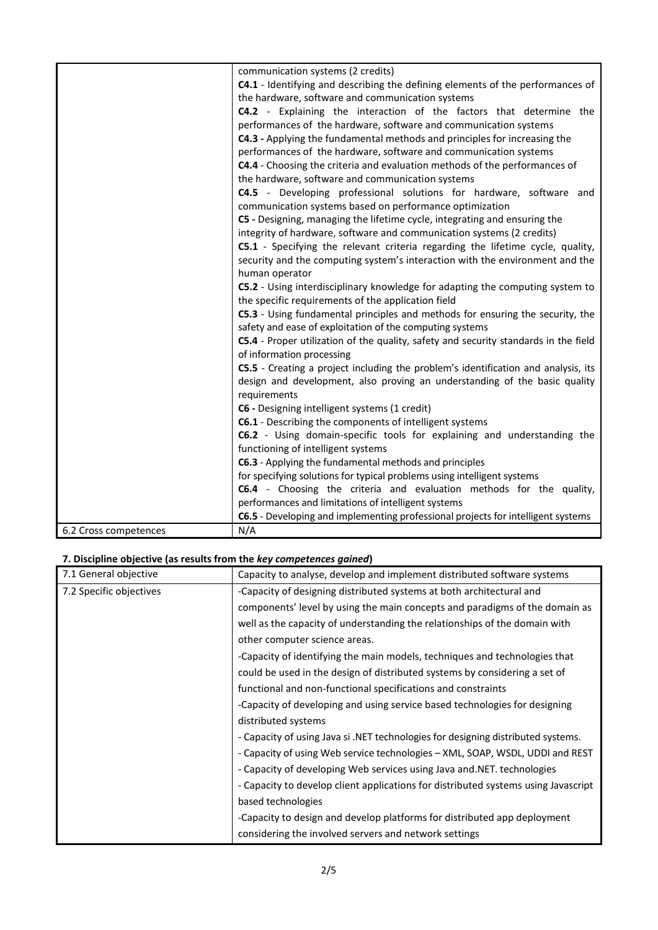|                       | communication systems (2 credits)                                                    |
|-----------------------|--------------------------------------------------------------------------------------|
|                       | C4.1 - Identifying and describing the defining elements of the performances of       |
|                       | the hardware, software and communication systems                                     |
|                       | C4.2 - Explaining the interaction of the factors that determine the                  |
|                       | performances of the hardware, software and communication systems                     |
|                       | C4.3 - Applying the fundamental methods and principles for increasing the            |
|                       | performances of the hardware, software and communication systems                     |
|                       | C4.4 - Choosing the criteria and evaluation methods of the performances of           |
|                       | the hardware, software and communication systems                                     |
|                       | C4.5 - Developing professional solutions for hardware, software and                  |
|                       | communication systems based on performance optimization                              |
|                       | C5 - Designing, managing the lifetime cycle, integrating and ensuring the            |
|                       | integrity of hardware, software and communication systems (2 credits)                |
|                       | C5.1 - Specifying the relevant criteria regarding the lifetime cycle, quality,       |
|                       | security and the computing system's interaction with the environment and the         |
|                       | human operator                                                                       |
|                       | C5.2 - Using interdisciplinary knowledge for adapting the computing system to        |
|                       | the specific requirements of the application field                                   |
|                       | C5.3 - Using fundamental principles and methods for ensuring the security, the       |
|                       | safety and ease of exploitation of the computing systems                             |
|                       | C5.4 - Proper utilization of the quality, safety and security standards in the field |
|                       | of information processing                                                            |
|                       | C5.5 - Creating a project including the problem's identification and analysis, its   |
|                       | design and development, also proving an understanding of the basic quality           |
|                       | requirements                                                                         |
|                       | C6 - Designing intelligent systems (1 credit)                                        |
|                       | C6.1 - Describing the components of intelligent systems                              |
|                       | C6.2 - Using domain-specific tools for explaining and understanding the              |
|                       | functioning of intelligent systems                                                   |
|                       | C6.3 - Applying the fundamental methods and principles                               |
|                       | for specifying solutions for typical problems using intelligent systems              |
|                       | C6.4 - Choosing the criteria and evaluation methods for the quality,                 |
|                       | performances and limitations of intelligent systems                                  |
|                       | C6.5 - Developing and implementing professional projects for intelligent systems     |
| 6.2 Cross competences | N/A                                                                                  |

# **7. Discipline objective (as results from the** *key competences gained***)**

| 7.1 General objective   | Capacity to analyse, develop and implement distributed software systems            |
|-------------------------|------------------------------------------------------------------------------------|
| 7.2 Specific objectives | -Capacity of designing distributed systems at both architectural and               |
|                         | components' level by using the main concepts and paradigms of the domain as        |
|                         | well as the capacity of understanding the relationships of the domain with         |
|                         | other computer science areas.                                                      |
|                         | -Capacity of identifying the main models, techniques and technologies that         |
|                         | could be used in the design of distributed systems by considering a set of         |
|                         | functional and non-functional specifications and constraints                       |
|                         | -Capacity of developing and using service based technologies for designing         |
|                         | distributed systems                                                                |
|                         | - Capacity of using Java si .NET technologies for designing distributed systems.   |
|                         | - Capacity of using Web service technologies – XML, SOAP, WSDL, UDDI and REST      |
|                         | - Capacity of developing Web services using Java and NET. technologies             |
|                         | - Capacity to develop client applications for distributed systems using Javascript |
|                         | based technologies                                                                 |
|                         | -Capacity to design and develop platforms for distributed app deployment           |
|                         | considering the involved servers and network settings                              |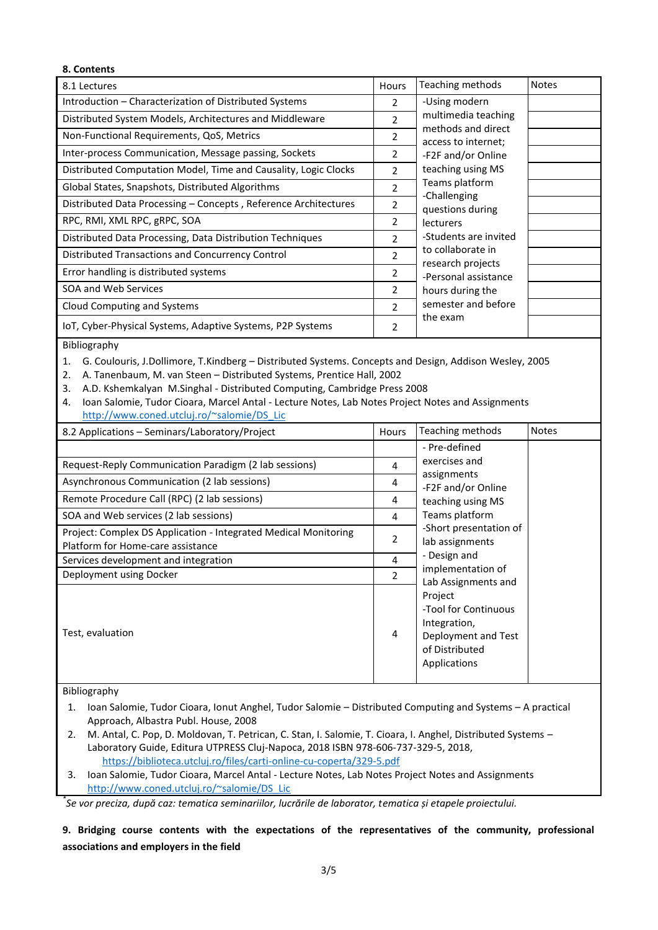| 8. Contents                                                     |                |                                           |              |
|-----------------------------------------------------------------|----------------|-------------------------------------------|--------------|
| 8.1 Lectures                                                    | Hours          | Teaching methods                          | <b>Notes</b> |
| Introduction – Characterization of Distributed Systems          | $\mathcal{P}$  | -Using modern<br>multimedia teaching      |              |
| Distributed System Models, Architectures and Middleware         | 2              |                                           |              |
| Non-Functional Requirements, QoS, Metrics                       | $\overline{2}$ | methods and direct<br>access to internet; |              |
| Inter-process Communication, Message passing, Sockets           | 2              | -F2F and/or Online                        |              |
| Distributed Computation Model, Time and Causality, Logic Clocks | $\mathcal{P}$  | teaching using MS                         |              |
| Global States, Snapshots, Distributed Algorithms                | $\overline{2}$ | Teams platform                            |              |
| Distributed Data Processing - Concepts, Reference Architectures | 2              | -Challenging<br>questions during          |              |
| RPC, RMI, XML RPC, gRPC, SOA                                    | $\mathfrak{p}$ | <b>lecturers</b>                          |              |
| Distributed Data Processing, Data Distribution Techniques       | $\mathcal{P}$  | -Students are invited                     |              |
| Distributed Transactions and Concurrency Control                | $\mathcal{P}$  | to collaborate in<br>research projects    |              |
| Error handling is distributed systems                           | 2              | -Personal assistance                      |              |
| SOA and Web Services                                            | $\mathcal{P}$  | hours during the                          |              |
| Cloud Computing and Systems                                     | $\mathcal{P}$  | semester and before                       |              |
| IoT, Cyber-Physical Systems, Adaptive Systems, P2P Systems      | 2              | the exam                                  |              |

#### Bibliography

1. G. Coulouris, J.Dollimore, T.Kindberg – Distributed Systems. Concepts and Design, Addison Wesley, 2005

- 2. A. Tanenbaum, M. van Steen Distributed Systems, Prentice Hall, 2002
- 3. A.D. Kshemkalyan M.Singhal Distributed Computing, Cambridge Press 2008
- 4. Ioan Salomie, Tudor Cioara, Marcel Antal Lecture Notes, Lab Notes Project Notes and Assignments [http://www.coned.utcluj.ro/~salomie/DS\\_Lic](http://www.coned.utcluj.ro/~salomie/DS_Lic)

| 8.2 Applications – Seminars/Laboratory/Project                                                       | <b>Hours</b>   | Teaching methods                                                                                         | <b>Notes</b> |
|------------------------------------------------------------------------------------------------------|----------------|----------------------------------------------------------------------------------------------------------|--------------|
|                                                                                                      |                | - Pre-defined                                                                                            |              |
| Request-Reply Communication Paradigm (2 lab sessions)                                                | 4              | exercises and                                                                                            |              |
| Asynchronous Communication (2 lab sessions)                                                          | 4              | assignments<br>-F2F and/or Online                                                                        |              |
| Remote Procedure Call (RPC) (2 lab sessions)                                                         | 4              | teaching using MS                                                                                        |              |
| SOA and Web services (2 lab sessions)                                                                | 4              | Teams platform                                                                                           |              |
| Project: Complex DS Application - Integrated Medical Monitoring<br>Platform for Home-care assistance | 2              | -Short presentation of<br>lab assignments                                                                |              |
| Services development and integration                                                                 | 4              | - Design and                                                                                             |              |
| Deployment using Docker                                                                              | $\mathfrak{p}$ | implementation of<br>Lab Assignments and                                                                 |              |
| Test, evaluation                                                                                     | 4              | Project<br>-Tool for Continuous<br>Integration,<br>Deployment and Test<br>of Distributed<br>Applications |              |

#### Bibliography

- 1. Ioan Salomie, Tudor Cioara, Ionut Anghel, Tudor Salomie Distributed Computing and Systems A practical Approach, Albastra Publ. House, 2008
- 2. M. Antal, C. Pop, D. Moldovan, T. Petrican, C. Stan, I. Salomie, T. Cioara, I. Anghel, Distributed Systems Laboratory Guide, Editura UTPRESS Cluj-Napoca, 2018 ISBN 978-606-737-329-5, 2018, <https://biblioteca.utcluj.ro/files/carti-online-cu-coperta/329-5.pdf>
- 3. Ioan Salomie, Tudor Cioara, Marcel Antal Lecture Notes, Lab Notes Project Notes and Assignments [http://www.coned.utcluj.ro/~salomie/DS\\_Lic](http://www.coned.utcluj.ro/~salomie/DS_Lic)

*\* Se vor preciza, după caz: tematica seminariilor, lucrările de laborator, tematica și etapele proiectului.*

**9. Bridging course contents with the expectations of the representatives of the community, professional associations and employers in the field**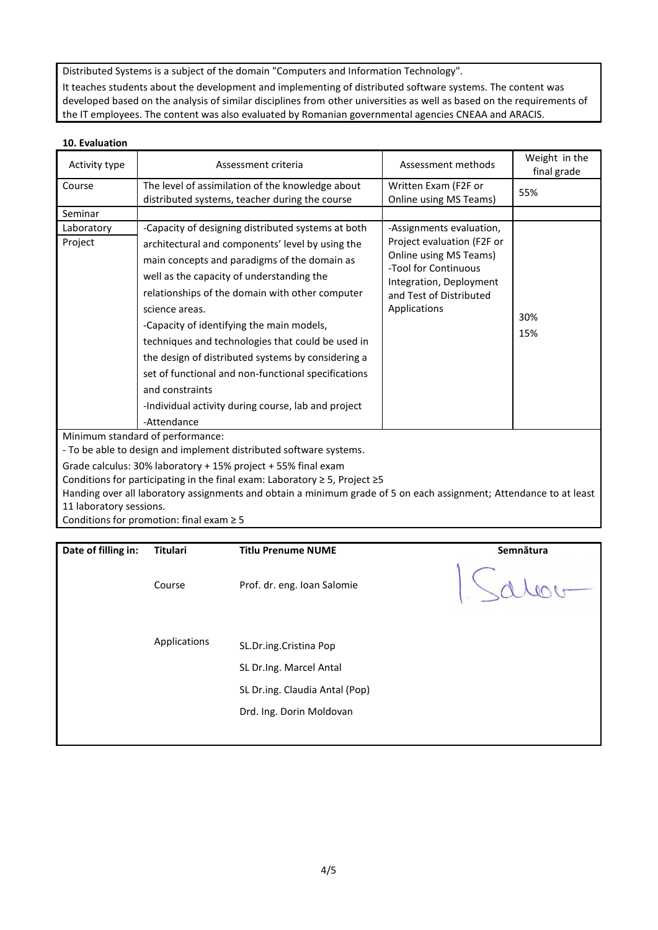Distributed Systems is a subject of the domain "Computers and Information Technology".

It teaches students about the development and implementing of distributed software systems. The content was developed based on the analysis of similar disciplines from other universities as well as based on the requirements of the IT employees. The content was also evaluated by Romanian governmental agencies CNEAA and ARACIS.

#### **10. Evaluation**

| Activity type                                                                         | Assessment criteria                                 | Assessment methods                                 | Weight in the<br>final grade |  |  |
|---------------------------------------------------------------------------------------|-----------------------------------------------------|----------------------------------------------------|------------------------------|--|--|
| Course                                                                                | The level of assimilation of the knowledge about    | Written Exam (F2F or                               | 55%                          |  |  |
|                                                                                       | distributed systems, teacher during the course      | Online using MS Teams)                             |                              |  |  |
| Seminar                                                                               |                                                     |                                                    |                              |  |  |
| Laboratory                                                                            | -Capacity of designing distributed systems at both  | -Assignments evaluation,                           |                              |  |  |
| Project                                                                               | architectural and components' level by using the    | Project evaluation (F2F or                         |                              |  |  |
|                                                                                       | main concepts and paradigms of the domain as        | Online using MS Teams)                             |                              |  |  |
|                                                                                       | well as the capacity of understanding the           | -Tool for Continuous                               |                              |  |  |
|                                                                                       | relationships of the domain with other computer     | Integration, Deployment<br>and Test of Distributed |                              |  |  |
|                                                                                       | science areas.                                      | Applications                                       |                              |  |  |
|                                                                                       | -Capacity of identifying the main models,           |                                                    | 30%<br>15%                   |  |  |
|                                                                                       | techniques and technologies that could be used in   |                                                    |                              |  |  |
|                                                                                       | the design of distributed systems by considering a  |                                                    |                              |  |  |
|                                                                                       | set of functional and non-functional specifications |                                                    |                              |  |  |
|                                                                                       | and constraints                                     |                                                    |                              |  |  |
|                                                                                       | -Individual activity during course, lab and project |                                                    |                              |  |  |
|                                                                                       | -Attendance                                         |                                                    |                              |  |  |
|                                                                                       | Minimum standard of performance:                    |                                                    |                              |  |  |
| - To be able to design and implement distributed software systems.                    |                                                     |                                                    |                              |  |  |
| Grade calculus: 30% laboratory + 15% project + 55% final exam                         |                                                     |                                                    |                              |  |  |
| Conditions for participating in the final exam: Laboratory $\geq$ 5, Project $\geq$ 5 |                                                     |                                                    |                              |  |  |

Handing over all laboratory assignments and obtain a minimum grade of 5 on each assignment; Attendance to at least 11 laboratory sessions.

Conditions for promotion: final exam ≥ 5

| Date of filling in: | <b>Titulari</b> | <b>Titlu Prenume NUME</b>      | Semnătura |
|---------------------|-----------------|--------------------------------|-----------|
|                     | Course          | Prof. dr. eng. Ioan Salomie    |           |
|                     | Applications    | SL.Dr.ing.Cristina Pop         |           |
|                     |                 | SL Dr.Ing. Marcel Antal        |           |
|                     |                 | SL Dr.ing. Claudia Antal (Pop) |           |
|                     |                 | Drd. Ing. Dorin Moldovan       |           |
|                     |                 |                                |           |